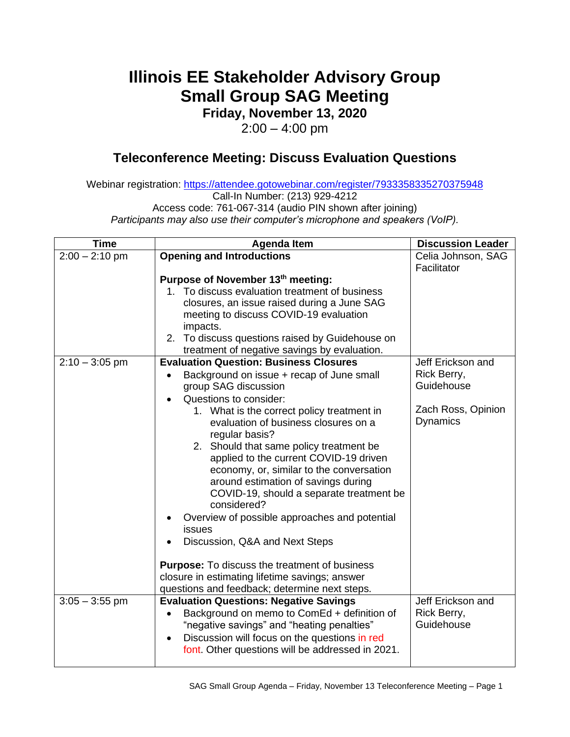## **Illinois EE Stakeholder Advisory Group Small Group SAG Meeting**

**Friday, November 13, 2020**

 $2:00 - 4:00$  pm

## **Teleconference Meeting: Discuss Evaluation Questions**

Webinar registration: <https://attendee.gotowebinar.com/register/7933358335270375948> Call-In Number: (213) 929-4212 Access code: 761-067-314 (audio PIN shown after joining)

*Participants may also use their computer's microphone and speakers (VoIP).*

| <b>Time</b>      | <b>Agenda Item</b>                                                                 | <b>Discussion Leader</b> |
|------------------|------------------------------------------------------------------------------------|--------------------------|
| $2:00 - 2:10$ pm | <b>Opening and Introductions</b>                                                   | Celia Johnson, SAG       |
|                  |                                                                                    | Facilitator              |
|                  | Purpose of November 13th meeting:                                                  |                          |
|                  | 1. To discuss evaluation treatment of business                                     |                          |
|                  | closures, an issue raised during a June SAG                                        |                          |
|                  | meeting to discuss COVID-19 evaluation                                             |                          |
|                  | impacts.                                                                           |                          |
|                  | 2. To discuss questions raised by Guidehouse on                                    |                          |
|                  | treatment of negative savings by evaluation.                                       |                          |
| $2:10 - 3:05$ pm | <b>Evaluation Question: Business Closures</b>                                      | Jeff Erickson and        |
|                  | Background on issue + recap of June small                                          | Rick Berry,              |
|                  | group SAG discussion                                                               | Guidehouse               |
|                  | Questions to consider:                                                             | Zach Ross, Opinion       |
|                  | 1. What is the correct policy treatment in<br>evaluation of business closures on a | Dynamics                 |
|                  | regular basis?                                                                     |                          |
|                  | 2. Should that same policy treatment be                                            |                          |
|                  | applied to the current COVID-19 driven                                             |                          |
|                  | economy, or, similar to the conversation                                           |                          |
|                  | around estimation of savings during                                                |                          |
|                  | COVID-19, should a separate treatment be                                           |                          |
|                  | considered?                                                                        |                          |
|                  | Overview of possible approaches and potential<br>$\bullet$                         |                          |
|                  | issues                                                                             |                          |
|                  | Discussion, Q&A and Next Steps                                                     |                          |
|                  |                                                                                    |                          |
|                  | <b>Purpose:</b> To discuss the treatment of business                               |                          |
|                  | closure in estimating lifetime savings; answer                                     |                          |
|                  | questions and feedback; determine next steps.                                      |                          |
| $3:05 - 3:55$ pm | <b>Evaluation Questions: Negative Savings</b>                                      | Jeff Erickson and        |
|                  | Background on memo to ComEd + definition of<br>$\bullet$                           | Rick Berry,              |
|                  | "negative savings" and "heating penalties"                                         | Guidehouse               |
|                  | Discussion will focus on the questions in red<br>$\bullet$                         |                          |
|                  | font. Other questions will be addressed in 2021.                                   |                          |
|                  |                                                                                    |                          |